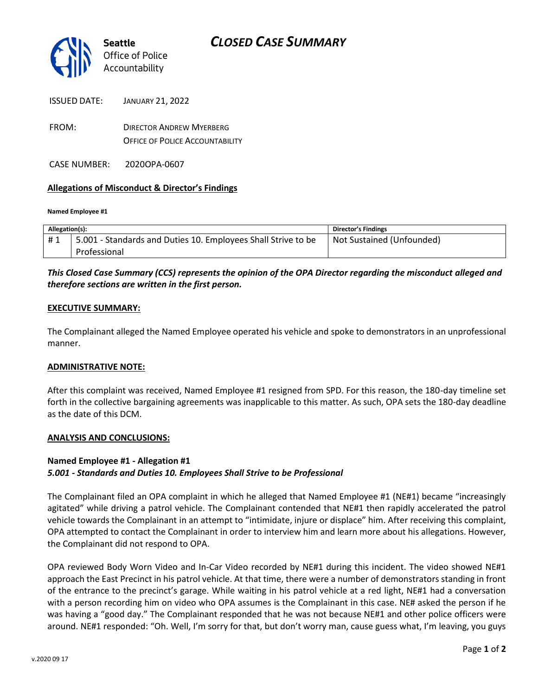

| <b>ISSUED DATE:</b> | <b>JANUARY 21, 2022</b> |  |
|---------------------|-------------------------|--|
|                     |                         |  |

FROM: DIRECTOR ANDREW MYERBERG OFFICE OF POLICE ACCOUNTABILITY

CASE NUMBER: 2020OPA-0607

### **Allegations of Misconduct & Director's Findings**

#### **Named Employee #1**

| Allegation(s): |                                                               | Director's Findings       |
|----------------|---------------------------------------------------------------|---------------------------|
| #1             | 5.001 - Standards and Duties 10. Employees Shall Strive to be | Not Sustained (Unfounded) |
|                | Professional                                                  |                           |

## *This Closed Case Summary (CCS) represents the opinion of the OPA Director regarding the misconduct alleged and therefore sections are written in the first person.*

#### **EXECUTIVE SUMMARY:**

The Complainant alleged the Named Employee operated his vehicle and spoke to demonstrators in an unprofessional manner.

### **ADMINISTRATIVE NOTE:**

After this complaint was received, Named Employee #1 resigned from SPD. For this reason, the 180-day timeline set forth in the collective bargaining agreements was inapplicable to this matter. As such, OPA sets the 180-day deadline as the date of this DCM.

#### **ANALYSIS AND CONCLUSIONS:**

### **Named Employee #1 - Allegation #1** *5.001 - Standards and Duties 10. Employees Shall Strive to be Professional*

The Complainant filed an OPA complaint in which he alleged that Named Employee #1 (NE#1) became "increasingly agitated" while driving a patrol vehicle. The Complainant contended that NE#1 then rapidly accelerated the patrol vehicle towards the Complainant in an attempt to "intimidate, injure or displace" him. After receiving this complaint, OPA attempted to contact the Complainant in order to interview him and learn more about his allegations. However, the Complainant did not respond to OPA.

OPA reviewed Body Worn Video and In-Car Video recorded by NE#1 during this incident. The video showed NE#1 approach the East Precinct in his patrol vehicle. At that time, there were a number of demonstrators standing in front of the entrance to the precinct's garage. While waiting in his patrol vehicle at a red light, NE#1 had a conversation with a person recording him on video who OPA assumes is the Complainant in this case. NE# asked the person if he was having a "good day." The Complainant responded that he was not because NE#1 and other police officers were around. NE#1 responded: "Oh. Well, I'm sorry for that, but don't worry man, cause guess what, I'm leaving, you guys